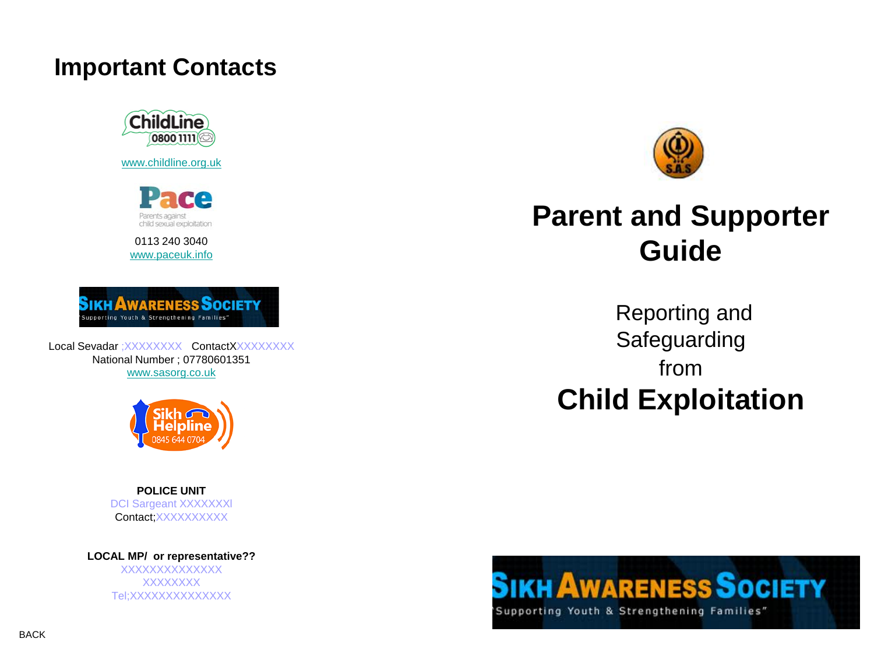#### **Important Contacts**



[www.childline.org.uk](http://www.childline.org.uk/)



0113 240 3040 [www.paceuk.info](http://www.paceuk.info/)



Local Sevadar : XXXXXXXX ContactXXXXXXXXX National Number ; 07780601351 [www.sasorg.co.uk](http://www.sasorg.co.uk/)



**POLICE UNIT** DCI Sargeant XXXXXXXI Contact;XXXXXXXXX

**LOCAL MP/ or representative??** XXXXXXXXXXXXXX **XXXXXXX** Tel;XXXXXXXXXXXXXX



# **Parent and Supporter Guide**

Reporting and **Safeguarding** from **Child Exploitation**

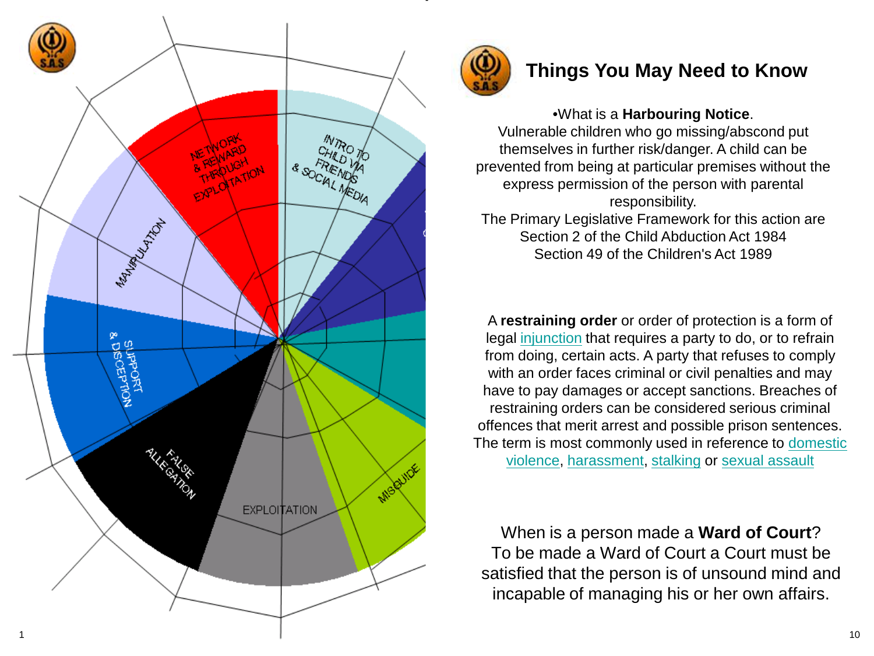



#### **Things You May Need to Know**

Vulnerable children who go missing/abscond put themselves in further risk/danger. A child can be prevented from being at particular premises without the express permission of the person with parental responsibility.

The Primary Legislative Framework for this action are Section 2 of the Child Abduction Act 1984 Section 49 of the Children's Act 1989

A **restraining order** or order of protection is a form of legal [injunction](http://en.wikipedia.org/wiki/Injunction) that requires a party to do, or to refrain from doing, certain acts. A party that refuses to comply with an order faces criminal or civil penalties and may have to pay damages or accept sanctions. Breaches of restraining orders can be considered serious criminal offences that merit arrest and possible prison sentences. The term is most commonly used in reference to domestic [violence](http://en.wikipedia.org/wiki/Domestic_violence), [harassment](http://en.wikipedia.org/wiki/Harassment), [stalking](http://en.wikipedia.org/wiki/Stalking) or [sexual assault](http://en.wikipedia.org/wiki/Sexual_assault) •What is a **Harbouring Notice**.<br>
Vulnerable children who go missing/abscond put<br>
themselves in further risk/danger. A child can be<br>
evented from being at particular premises without the<br>
express permission of the person w

When is a person made a **Ward of Court** ? To be made a Ward of Court a Court must be satisfied that the person is of unsound mind and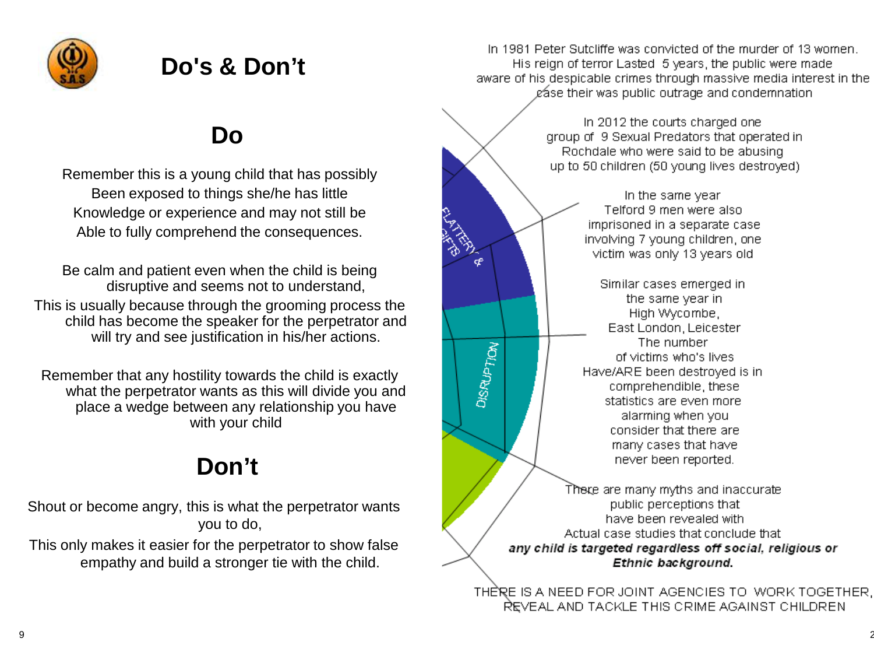

# **Do's & Don't**

## **Do**

Remember this is a young child that has possibly Been exposed to things she/he has little Knowledge or experience and may not still be Able to fully comprehend the consequences.

Be calm and patient even when the child is being disruptive and seems not to understand, This is usually because through the grooming process the child has become the speaker for the perpetrator and will try and see justification in his/her actions.

Remember that any hostility towards the child is exactly what the perpetrator wants as this will divide you and place a wedge between any relationship you have with your child

# **Don't**

Shout or become angry, this is what the perpetrator wants you to do,

This only makes it easier for the perpetrator to show false empathy and build a stronger tie with the child.

In 1981 Peter Sutcliffe was convicted of the murder of 13 women. His reign of terror Lasted 5 years, the public were made aware of his despicable crimes through massive media interest in the gase their was public outrage and condemnation

> In 2012 the courts charged one group of 9 Sexual Predators that operated in Rochdale who were said to be abusing up to 50 children (50 young lives destroyed)

In the same year Telford 9 men were also imprisoned in a separate case involving 7 young children, one victim was only 13 years old Similar cases emerged in the same year in High Wycombe, East London, Leicester The number of victims who's lives Have/ARE been destroyed is in comprehendible, these statistics are even more alarming when you consider that there are many cases that have never been reported. There are many myths and inaccurate public perceptions that have been revealed with

**DISRUPTION** 

Actual case studies that conclude that any child is targeted regardless off social, religious or Ethnic background.

THERE IS A NEED FOR JOINT AGENCIES TO WORK TOGETHER, REVEAL AND TACKLE THIS CRIME AGAINST CHILDREN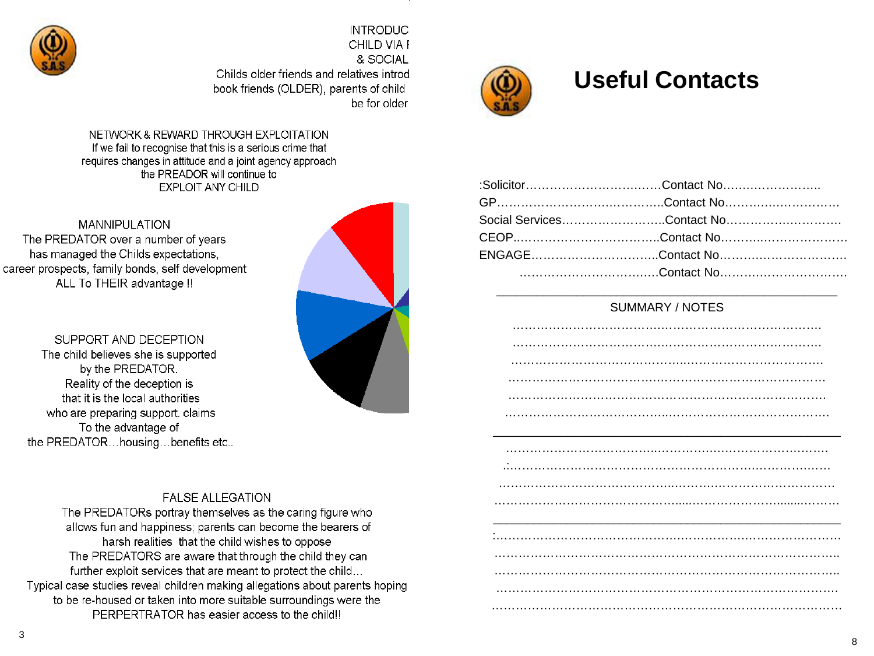

**INTRODUC** CHILD VIA F & SOCIAL Childs older friends and relatives introd book friends (OLDER), parents of child be for older

NETWORK & REWARD THROUGH EXPLOITATION If we fail to recognise that this is a serious crime that requires changes in attitude and a joint agency approach the PREADOR will continue to **EXPLOIT ANY CHILD** 

**FALSE ALLEGATION** The PREDATORs portray themselves as the caring figure who allows fun and happiness; parents can become the bearers of harsh realities that the child wishes to oppose The PREDATORS are aware that through the child they can further exploit services that are meant to protect the child... Typical case studies reveal children making allegations about parents hoping to be re-housed or taken into more suitable surroundings were the PERPERTRATOR has easier access to the child!!

**MANNIPULATION** The PREDATOR over a number of years has managed the Childs expectations, career prospects, family bonds, self development ALL To THEIR advantage !!

SUPPORT AND DECEPTION The child believes she is supported by the PREDATOR. Reality of the deception is that it is the local authorities who are preparing support. claims To the advantage of the PREDATOR...housing...benefits etc..





### **Useful Contacts**

| :SolicitorContact No      |  |
|---------------------------|--|
|                           |  |
| Social ServicesContact No |  |
|                           |  |
| ENGAGEContact No          |  |
|                           |  |

#### SUMMARY / NOTES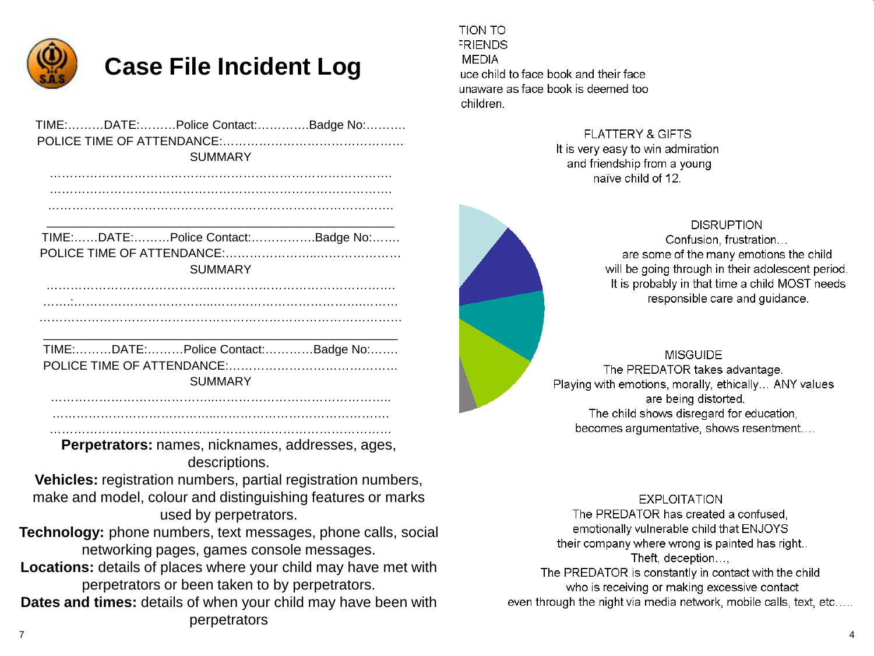

## **Case File Incident Log**

|  |         | TIME:DATE:Police Contact:Badge No: |
|--|---------|------------------------------------|
|  |         |                                    |
|  | SUMMARY |                                    |

…………………………………………………………………………. ………………………………………………………………………….

|  | TIME:DATE:Police Contact:Badge No: |
|--|------------------------------------|

POLICE TIME OF ATTENDANCE:…………………..………………… SUMMARY

…………………………………..………………………………………. …….:……………………………..……………………………….……… ………………………………………………………………………………

\_\_\_\_\_\_\_\_\_\_\_\_\_\_\_\_\_\_\_\_\_\_\_\_\_\_\_\_\_\_\_\_\_\_\_\_\_\_\_\_\_\_\_\_\_\_\_\_\_\_\_\_\_ TIME:………DATE:………Police Contact:…………Badge No:……. POLICE TIME OF ATTENDANCE:…………………………………… **SUMMARY** 

…………………………………..…………………………………….. …………………………………..…………………………………….

………………………………….………………………………………

**Perpetrators:** names, nicknames, addresses, ages, descriptions.

**Vehicles:** registration numbers, partial registration numbers, make and model, colour and distinguishing features or marks used by perpetrators.

**Technology:** phone numbers, text messages, phone calls, social networking pages, games console messages.

**Locations:** details of places where your child may have met with perpetrators or been taken to by perpetrators.

**Dates and times:** details of when your child may have been with perpetrators

TION TO **FRIENDS MEDIA** uce child to face book and their face unaware as face book is deemed too children.

> **FLATTERY & GIFTS** It is very easy to win admiration and friendship from a young naïve child of 12.



**DISRUPTION** 

Confusion, frustration... are some of the many emotions the child will be going through in their adolescent period. It is probably in that time a child MOST needs responsible care and guidance.

**MISGUIDE** The PREDATOR takes advantage. Playing with emotions, morally, ethically... ANY values are being distorted. The child shows disregard for education, becomes argumentative, shows resentment....

**EXPLOITATION** 

The PREDATOR has created a confused. emotionally vulnerable child that ENJOYS their company where wrong is painted has right. Theft, deception...,

The PREDATOR is constantly in contact with the child who is receiving or making excessive contact even through the night via media network, mobile calls, text, etc.....